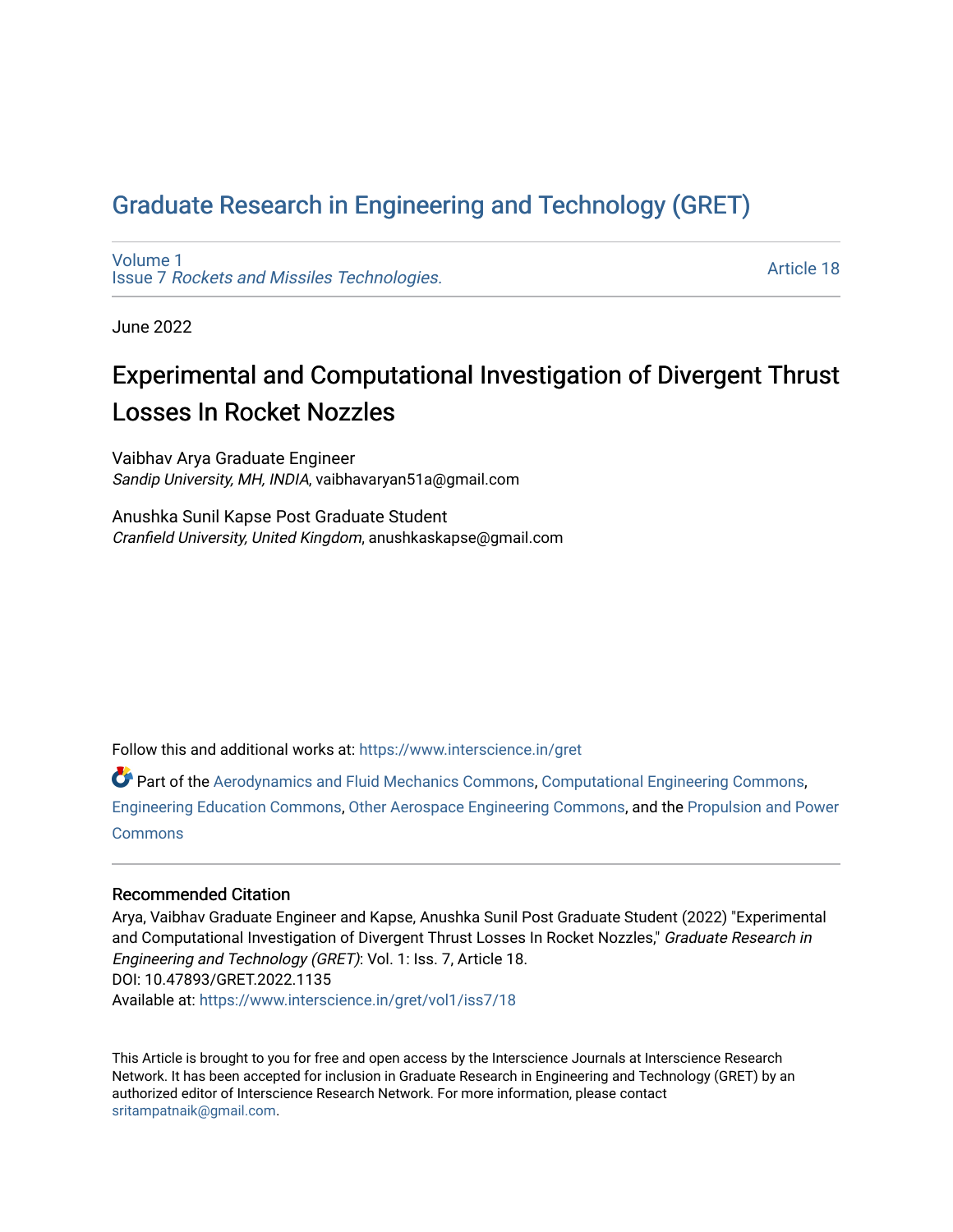# [Graduate Research in Engineering and Technology \(GRET\)](https://www.interscience.in/gret)

[Volume 1](https://www.interscience.in/gret/vol1) Issue 7 [Rockets and Missiles Technologies.](https://www.interscience.in/gret/vol1/iss7)

[Article 18](https://www.interscience.in/gret/vol1/iss7/18) 

June 2022

# Experimental and Computational Investigation of Divergent Thrust Losses In Rocket Nozzles

Vaibhav Arya Graduate Engineer Sandip University, MH, INDIA, vaibhavaryan51a@gmail.com

Anushka Sunil Kapse Post Graduate Student Cranfield University, United Kingdom, anushkaskapse@gmail.com

Follow this and additional works at: [https://www.interscience.in/gret](https://www.interscience.in/gret?utm_source=www.interscience.in%2Fgret%2Fvol1%2Fiss7%2F18&utm_medium=PDF&utm_campaign=PDFCoverPages)

Part of the [Aerodynamics and Fluid Mechanics Commons,](https://network.bepress.com/hgg/discipline/222?utm_source=www.interscience.in%2Fgret%2Fvol1%2Fiss7%2F18&utm_medium=PDF&utm_campaign=PDFCoverPages) [Computational Engineering Commons](https://network.bepress.com/hgg/discipline/311?utm_source=www.interscience.in%2Fgret%2Fvol1%2Fiss7%2F18&utm_medium=PDF&utm_campaign=PDFCoverPages), [Engineering Education Commons,](https://network.bepress.com/hgg/discipline/1191?utm_source=www.interscience.in%2Fgret%2Fvol1%2Fiss7%2F18&utm_medium=PDF&utm_campaign=PDFCoverPages) [Other Aerospace Engineering Commons,](https://network.bepress.com/hgg/discipline/228?utm_source=www.interscience.in%2Fgret%2Fvol1%2Fiss7%2F18&utm_medium=PDF&utm_campaign=PDFCoverPages) and the [Propulsion and Power](https://network.bepress.com/hgg/discipline/225?utm_source=www.interscience.in%2Fgret%2Fvol1%2Fiss7%2F18&utm_medium=PDF&utm_campaign=PDFCoverPages) **[Commons](https://network.bepress.com/hgg/discipline/225?utm_source=www.interscience.in%2Fgret%2Fvol1%2Fiss7%2F18&utm_medium=PDF&utm_campaign=PDFCoverPages)** 

### Recommended Citation

Arya, Vaibhav Graduate Engineer and Kapse, Anushka Sunil Post Graduate Student (2022) "Experimental and Computational Investigation of Divergent Thrust Losses In Rocket Nozzles," Graduate Research in Engineering and Technology (GRET): Vol. 1: Iss. 7, Article 18. DOI: 10.47893/GRET.2022.1135 Available at: [https://www.interscience.in/gret/vol1/iss7/18](https://www.interscience.in/gret/vol1/iss7/18?utm_source=www.interscience.in%2Fgret%2Fvol1%2Fiss7%2F18&utm_medium=PDF&utm_campaign=PDFCoverPages) 

This Article is brought to you for free and open access by the Interscience Journals at Interscience Research Network. It has been accepted for inclusion in Graduate Research in Engineering and Technology (GRET) by an authorized editor of Interscience Research Network. For more information, please contact [sritampatnaik@gmail.com](mailto:sritampatnaik@gmail.com).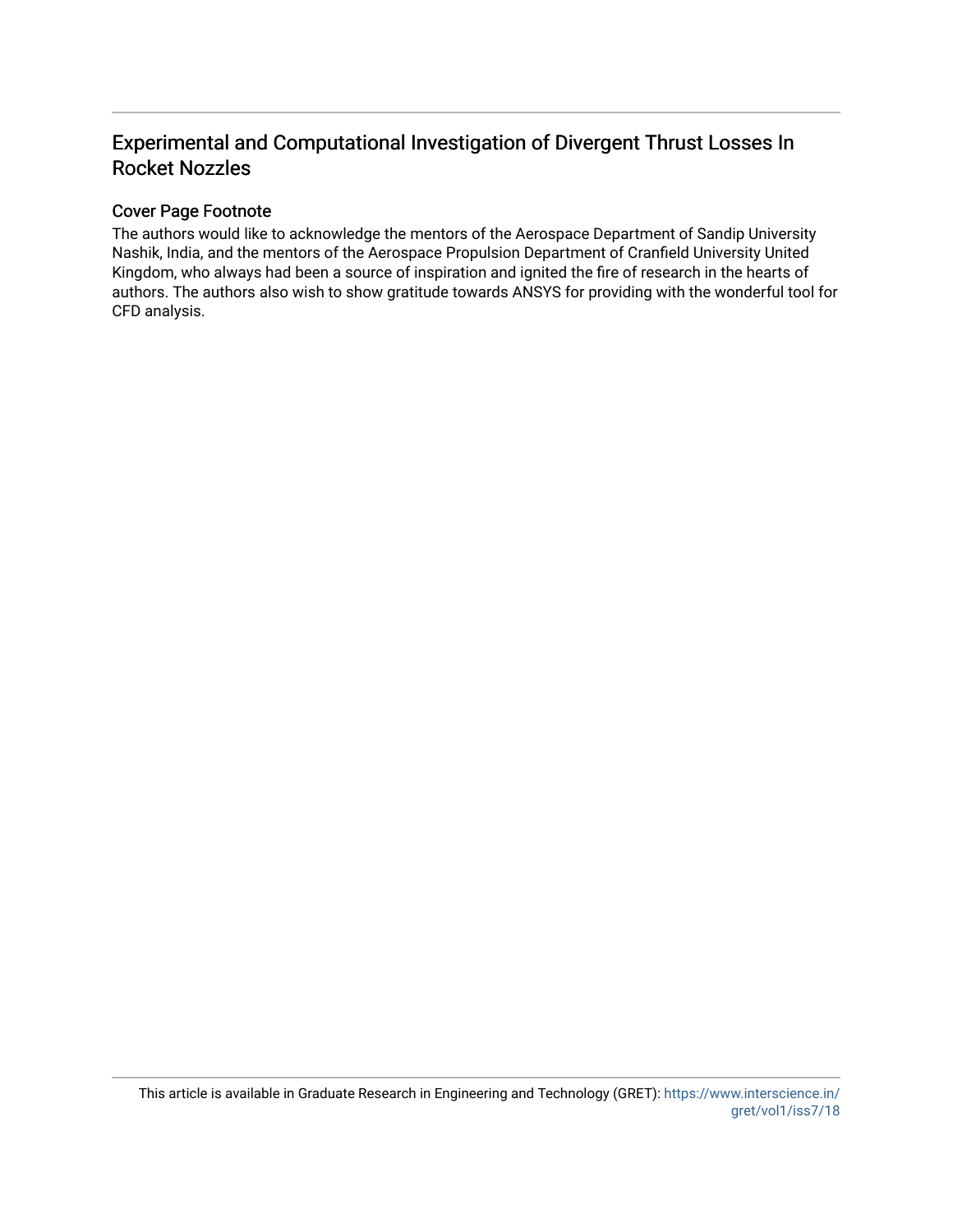## Experimental and Computational Investigation of Divergent Thrust Losses In Rocket Nozzles

### Cover Page Footnote

The authors would like to acknowledge the mentors of the Aerospace Department of Sandip University Nashik, India, and the mentors of the Aerospace Propulsion Department of Cranfield University United Kingdom, who always had been a source of inspiration and ignited the fire of research in the hearts of authors. The authors also wish to show gratitude towards ANSYS for providing with the wonderful tool for CFD analysis.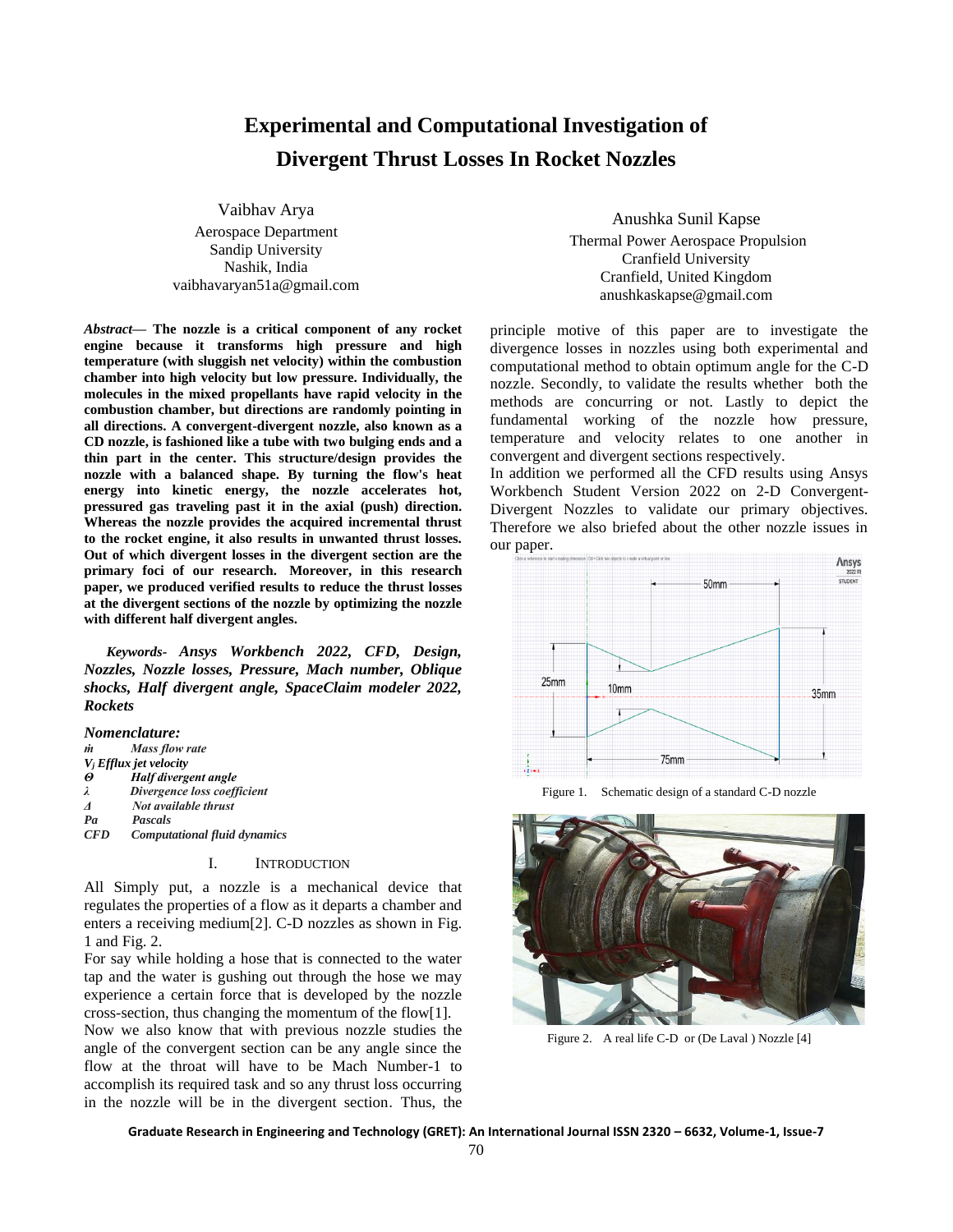## **Experimental and Computational Investigation of Divergent Thrust Losses In Rocket Nozzles**

Vaibhav Arya Aerospace Department Sandip University Nashik, India vaibhavaryan51a@gmail.com

*Abstract***— The nozzle is a critical component of any rocket engine because it transforms high pressure and high temperature (with sluggish net velocity) within the combustion chamber into high velocity but low pressure. Individually, the molecules in the mixed propellants have rapid velocity in the combustion chamber, but directions are randomly pointing in all directions. A convergent-divergent nozzle, also known as a CD nozzle, is fashioned like a tube with two bulging ends and a thin part in the center. This structure/design provides the nozzle with a balanced shape. By turning the flow's heat energy into kinetic energy, the nozzle accelerates hot, pressured gas traveling past it in the axial (push) direction. Whereas the nozzle provides the acquired incremental thrust to the rocket engine, it also results in unwanted thrust losses. Out of which divergent losses in the divergent section are the primary foci of our research. Moreover, in this research paper, we produced verified results to reduce the thrust losses at the divergent sections of the nozzle by optimizing the nozzle with different half divergent angles.**

*Keywords- Ansys Workbench 2022, CFD, Design, Nozzles, Nozzle losses, Pressure, Mach number, Oblique shocks, Half divergent angle, SpaceClaim modeler 2022, Rockets*

#### *Nomenclature:*

| m                        | Mass flow rate                      |
|--------------------------|-------------------------------------|
|                          | $V_i$ Efflux jet velocity           |
| $\boldsymbol{\vartheta}$ | Half divergent angle                |
| λ                        | Divergence loss coefficient         |
| $\boldsymbol{\Lambda}$   | Not available thrust                |
| Pa                       | Pascals                             |
| <b>CFD</b>               | <b>Computational fluid dynamics</b> |

#### I. INTRODUCTION

All Simply put, a nozzle is a mechanical device that regulates the properties of a flow as it departs a chamber and enters a receiving medium[2]. C-D nozzles as shown in Fig. 1 and Fig. 2.

For say while holding a hose that is connected to the water tap and the water is gushing out through the hose we may experience a certain force that is developed by the nozzle cross-section, thus changing the momentum of the flow[1].

Now we also know that with previous nozzle studies the angle of the convergent section can be any angle since the flow at the throat will have to be Mach Number-1 to accomplish its required task and so any thrust loss occurring in the nozzle will be in the divergent section. Thus, the

Anushka Sunil Kapse Thermal Power Aerospace Propulsion Cranfield University Cranfield, United Kingdom anushkaskapse@gmail.com

principle motive of this paper are to investigate the divergence losses in nozzles using both experimental and computational method to obtain optimum angle for the C-D nozzle. Secondly, to validate the results whether both the methods are concurring or not. Lastly to depict the fundamental working of the nozzle how pressure, temperature and velocity relates to one another in convergent and divergent sections respectively.

In addition we performed all the CFD results using Ansys Workbench Student Version 2022 on 2-D Convergent-Divergent Nozzles to validate our primary objectives. Therefore we also briefed about the other nozzle issues in our paper.



Figure 1. Schematic design of a standard C-D nozzle



Figure 2. A real life C-D or (De Laval ) Nozzle [4]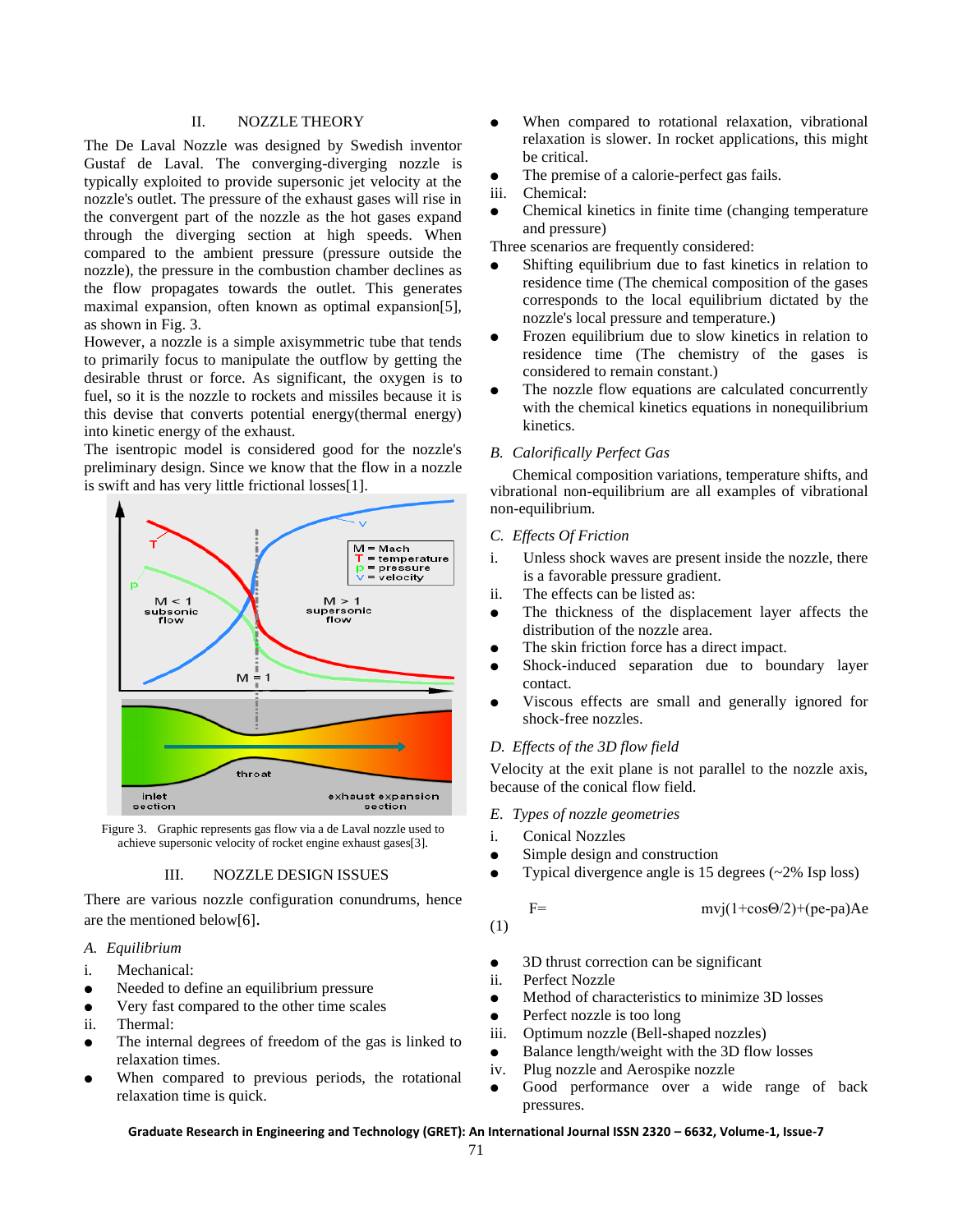#### II. NOZZLE THEORY

The De Laval Nozzle was designed by Swedish inventor Gustaf de Laval. The converging-diverging nozzle is typically exploited to provide supersonic jet velocity at the nozzle's outlet. The pressure of the exhaust gases will rise in the convergent part of the nozzle as the hot gases expand through the diverging section at high speeds. When compared to the ambient pressure (pressure outside the nozzle), the pressure in the combustion chamber declines as the flow propagates towards the outlet. This generates maximal expansion, often known as optimal expansion[5], as shown in Fig. 3.

However, a nozzle is a simple axisymmetric tube that tends to primarily focus to manipulate the outflow by getting the desirable thrust or force. As significant, the oxygen is to fuel, so it is the nozzle to rockets and missiles because it is this devise that converts potential energy(thermal energy) into kinetic energy of the exhaust.

The isentropic model is considered good for the nozzle's preliminary design. Since we know that the flow in a nozzle is swift and has very little frictional losses[1].





#### III. NOZZLE DESIGN ISSUES

There are various nozzle configuration conundrums, hence are the mentioned below[6].

#### *A. Equilibrium*

- i. Mechanical:
- Needed to define an equilibrium pressure
- Very fast compared to the other time scales
- ii. Thermal:
- The internal degrees of freedom of the gas is linked to relaxation times.
- When compared to previous periods, the rotational relaxation time is quick.
- When compared to rotational relaxation, vibrational relaxation is slower. In rocket applications, this might be critical.
- The premise of a calorie-perfect gas fails.
- iii. Chemical:
- Chemical kinetics in finite time (changing temperature) and pressure)

Three scenarios are frequently considered:

- Shifting equilibrium due to fast kinetics in relation to residence time (The chemical composition of the gases corresponds to the local equilibrium dictated by the nozzle's local pressure and temperature.)
- Frozen equilibrium due to slow kinetics in relation to residence time (The chemistry of the gases is considered to remain constant.)
- The nozzle flow equations are calculated concurrently with the chemical kinetics equations in nonequilibrium kinetics.

#### *B. Calorifically Perfect Gas*

Chemical composition variations, temperature shifts, and vibrational non-equilibrium are all examples of vibrational non-equilibrium.

#### *C. Effects Of Friction*

- i. Unless shock waves are present inside the nozzle, there is a favorable pressure gradient.
- ii. The effects can be listed as:
- The thickness of the displacement layer affects the distribution of the nozzle area.
- The skin friction force has a direct impact.
- Shock-induced separation due to boundary layer contact.
- Viscous effects are small and generally ignored for shock-free nozzles.

#### *D. Effects of the 3D flow field*

Velocity at the exit plane is not parallel to the nozzle axis, because of the conical flow field.

#### *E. Types of nozzle geometries*

- i. Conical Nozzles
- Simple design and construction
- Typical divergence angle is 15 degrees  $(-2\%$  Isp loss)

F=  $mvj(1+\cos\Theta/2)+(\text{pe-pa})Ae$ 

(1)

- 3D thrust correction can be significant
- ii. Perfect Nozzle
- Method of characteristics to minimize 3D losses
- Perfect nozzle is too long
- iii. Optimum nozzle (Bell-shaped nozzles)
- Balance length/weight with the 3D flow losses
- iv. Plug nozzle and Aerospike nozzle
- Good performance over a wide range of back pressures.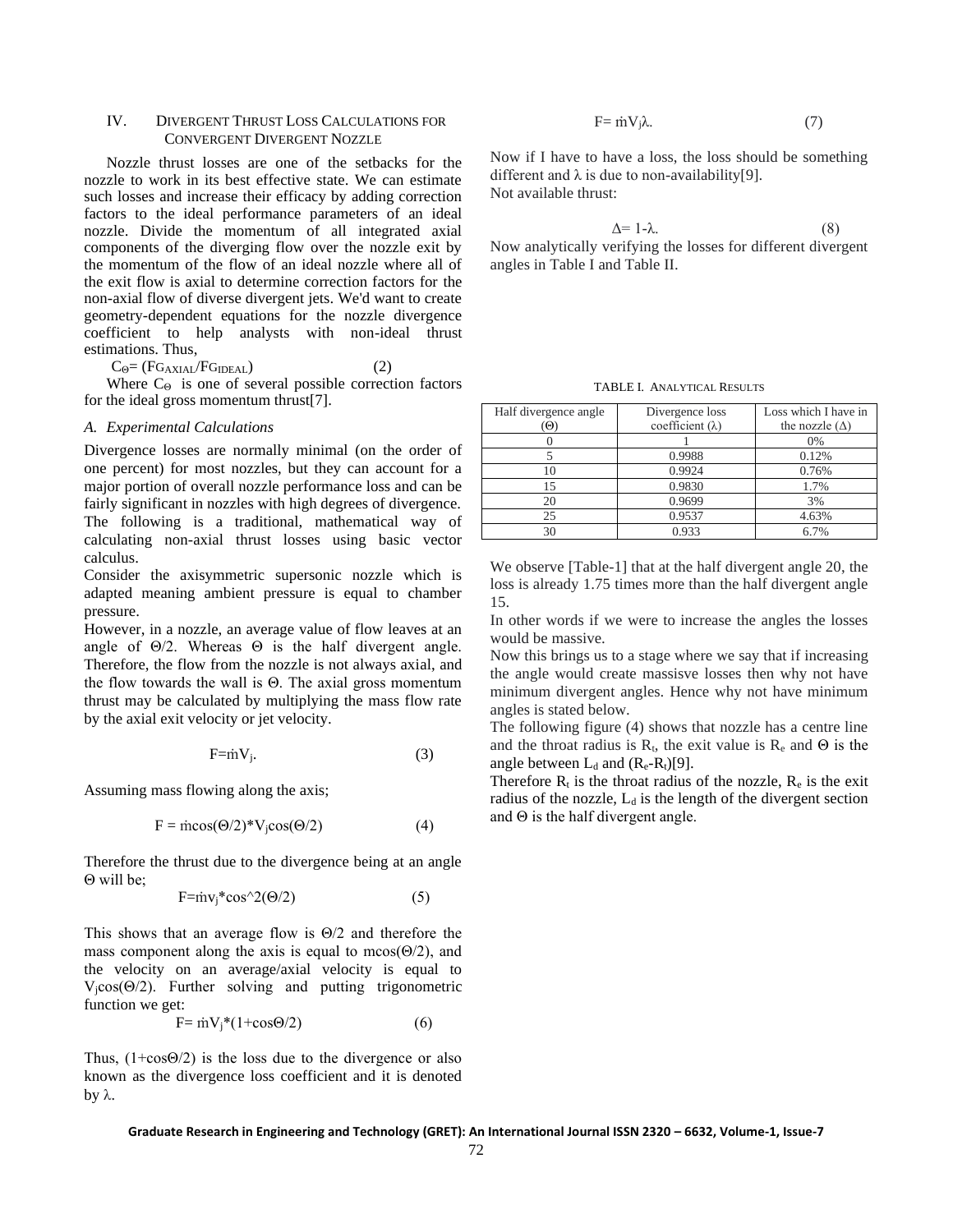#### IV. DIVERGENT THRUST LOSS CALCULATIONS FOR CONVERGENT DIVERGENT NOZZLE

Nozzle thrust losses are one of the setbacks for the nozzle to work in its best effective state. We can estimate such losses and increase their efficacy by adding correction factors to the ideal performance parameters of an ideal nozzle. Divide the momentum of all integrated axial components of the diverging flow over the nozzle exit by the momentum of the flow of an ideal nozzle where all of the exit flow is axial to determine correction factors for the non-axial flow of diverse divergent jets. We'd want to create geometry-dependent equations for the nozzle divergence coefficient to help analysts with non-ideal thrust estimations. Thus,

 $C_{\Theta} = (FG_{AXIAL}/FG_{IDEAL})$  (2)

Where  $C_{\Theta}$  is one of several possible correction factors for the ideal gross momentum thrust[7].

#### *A. Experimental Calculations*

Divergence losses are normally minimal (on the order of one percent) for most nozzles, but they can account for a major portion of overall nozzle performance loss and can be fairly significant in nozzles with high degrees of divergence. The following is a traditional, mathematical way of calculating non-axial thrust losses using basic vector calculus.

Consider the axisymmetric supersonic nozzle which is adapted meaning ambient pressure is equal to chamber pressure.

However, in a nozzle, an average value of flow leaves at an angle of  $\Theta/2$ . Whereas  $\Theta$  is the half divergent angle. Therefore, the flow from the nozzle is not always axial, and the flow towards the wall is Θ. The axial gross momentum thrust may be calculated by multiplying the mass flow rate by the axial exit velocity or jet velocity.

$$
F = mV_i. \tag{3}
$$

Assuming mass flowing along the axis;

$$
F = \text{incos}(\Theta/2)^* V_j \cos(\Theta/2) \tag{4}
$$

Therefore the thrust due to the divergence being at an angle Θ will be;

$$
F = inv_j * cos^2(0/2)
$$
 (5)

This shows that an average flow is Θ/2 and therefore the mass component along the axis is equal to mcos( $\Theta$ /2), and the velocity on an average/axial velocity is equal to  $V_i\cos(\Theta/2)$ . Further solving and putting trigonometric function we get:

$$
F = \dot{m}V_j^*(1 + \cos\Theta/2) \tag{6}
$$

Thus,  $(1+\cos\Theta/2)$  is the loss due to the divergence or also known as the divergence loss coefficient and it is denoted by λ.

$$
F = \dot{m} V_j \lambda. \tag{7}
$$

Now if I have to have a loss, the loss should be something different and  $\lambda$  is due to non-availability[9]. Not available thrust:

 $\Delta = 1-\lambda.$  (8) Now analytically verifying the losses for different divergent angles in Table I and Table II.

TABLE I. ANALYTICAL RESULTS

| Half divergence angle<br>Đ) | Divergence loss<br>coefficient $(\lambda)$ | Loss which I have in<br>the nozzle $(\Delta)$ |
|-----------------------------|--------------------------------------------|-----------------------------------------------|
|                             |                                            | 0%                                            |
|                             | 0.9988                                     | 0.12%                                         |
| l0                          | 0.9924                                     | 0.76%                                         |
| 15                          | 0.9830                                     | 1.7%                                          |
| 20                          | 0.9699                                     | 3%                                            |
| 25                          | 0.9537                                     | 4.63%                                         |
| 30                          | 0.933                                      | 6.7%                                          |

We observe [Table-1] that at the half divergent angle 20, the loss is already 1.75 times more than the half divergent angle 15.

In other words if we were to increase the angles the losses would be massive.

Now this brings us to a stage where we say that if increasing the angle would create massisve losses then why not have minimum divergent angles. Hence why not have minimum angles is stated below.

The following figure (4) shows that nozzle has a centre line and the throat radius is  $R_t$ , the exit value is  $R_e$  and  $\Theta$  is the angle between  $L_d$  and  $(R_e-R_t)[9]$ .

Therefore  $R_t$  is the throat radius of the nozzle,  $R_e$  is the exit radius of the nozzle,  $L_d$  is the length of the divergent section and  $\Theta$  is the half divergent angle.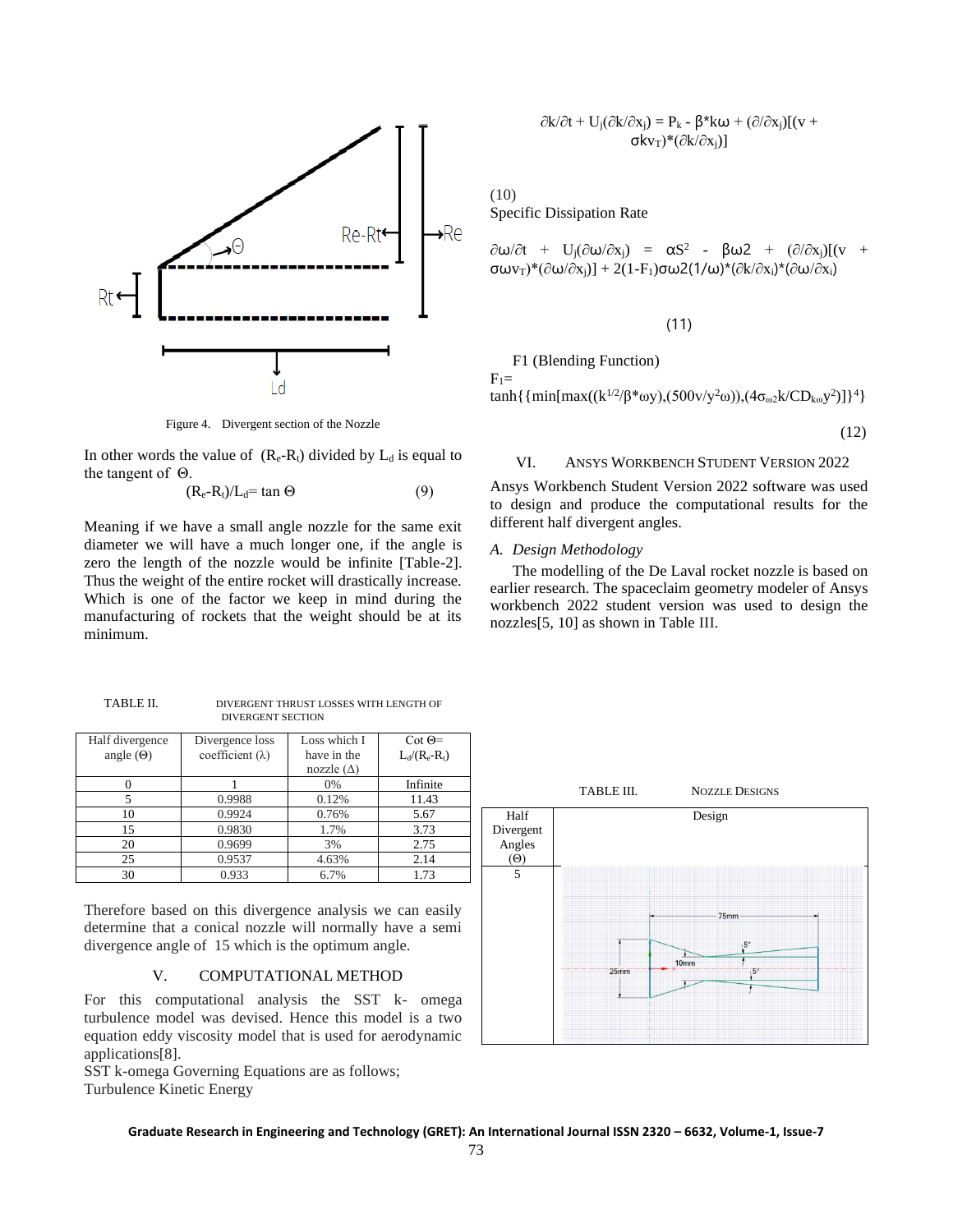

Figure 4. Divergent section of the Nozzle

In other words the value of  $(R_e-R_t)$  divided by  $L_d$  is equal to the tangent of Θ.

$$
(R_e - R_t)/L_d = \tan \Theta \tag{9}
$$

Meaning if we have a small angle nozzle for the same exit diameter we will have a much longer one, if the angle is zero the length of the nozzle would be infinite [Table-2]. Thus the weight of the entire rocket will drastically increase. Which is one of the factor we keep in mind during the manufacturing of rockets that the weight should be at its minimum.

| TABLE II. | DIVERGENT THRUST LOSSES WITH LENGTH OF |  |  |
|-----------|----------------------------------------|--|--|
|           | <b>DIVERGENT SECTION</b>               |  |  |

| Half divergence  | Divergence loss         | Loss which I      | $\cot \Theta =$ |
|------------------|-------------------------|-------------------|-----------------|
| angle $(\Theta)$ | coefficient $(\lambda)$ | have in the       | $L_d/(R_e-R_t)$ |
|                  |                         | nozzle $(\Delta)$ |                 |
|                  |                         | 0%                | Infinite        |
|                  | 0.9988                  | 0.12%             | 11.43           |
| 10               | 0.9924                  | 0.76%             | 5.67            |
| 15               | 0.9830                  | 1.7%              | 3.73            |
| 20               | 0.9699                  | 3%                | 2.75            |
| 25               | 0.9537                  | 4.63%             | 2.14            |
| 30               | 0.933                   | 6.7%              | 1.73            |

Therefore based on this divergence analysis we can easily determine that a conical nozzle will normally have a semi divergence angle of 15 which is the optimum angle.

#### V. COMPUTATIONAL METHOD

For this computational analysis the SST k- omega turbulence model was devised. Hence this model is a two equation eddy viscosity model that is used for aerodynamic applications[8].

SST k-omega Governing Equations are as follows; Turbulence Kinetic Energy

$$
\frac{\partial k}{\partial t} + U_j(\frac{\partial k}{\partial x_j}) = P_k - \beta^* k\omega + (\frac{\partial}{\partial x_j})[(v + \sigma kv_T)^*(\frac{\partial k}{\partial x_i})]
$$

(10)

Specific Dissipation Rate

$$
\partial \omega/\partial t + U_j(\partial \omega/\partial x_j) = \alpha S^2 - \beta \omega 2 + (\partial/\partial x_j)[(v + \sigma \omega v_T)^*(\partial \omega/\partial x_j)] + 2(1-F_1)\sigma \omega 2(1/\omega)^*(\partial k/\partial x_j)^*(\partial \omega/\partial x_i)
$$

#### (11)

F1 (Blending Function)  $F_1=$ tanh{{min[max((k<sup>1/2</sup>/β\*ωy),(500v/y<sup>2</sup>ω)),(4σ<sub>ω2</sub>k/CD<sub>kω</sub>y<sup>2</sup>)]}<sup>4</sup>}

(12)

#### VI. ANSYS WORKBENCH STUDENT VERSION 2022

Ansys Workbench Student Version 2022 software was used to design and produce the computational results for the different half divergent angles.

#### *A. Design Methodology*

The modelling of the De Laval rocket nozzle is based on earlier research. The spaceclaim geometry modeler of Ansys workbench 2022 student version was used to design the nozzles[5, 10] as shown in Table III.

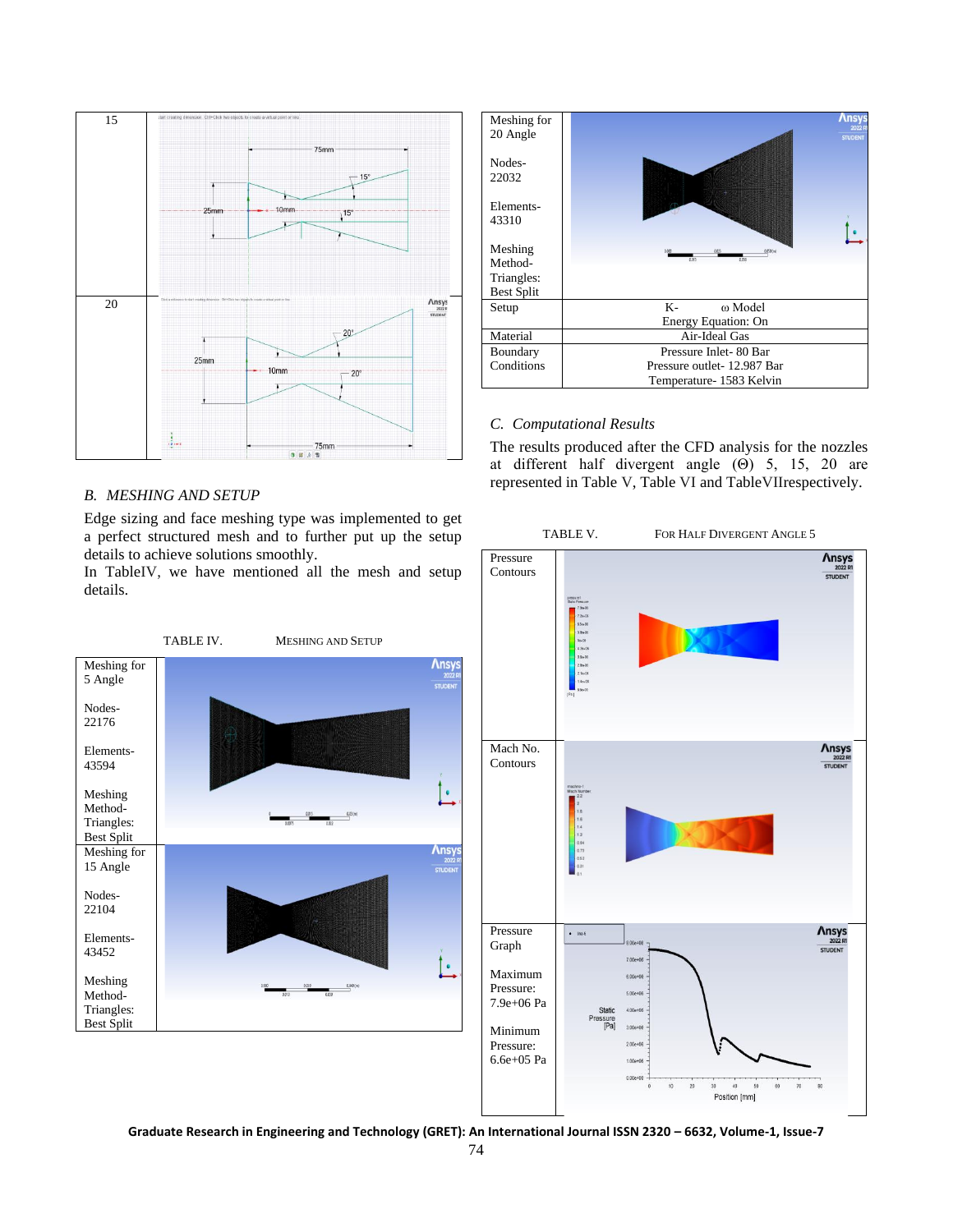

#### *B. MESHING AND SETUP*

Edge sizing and face meshing type was implemented to get a perfect structured mesh and to further put up the setup details to achieve solutions smoothly.

In TableIV, we have mentioned all the mesh and setup details.





#### *C. Computational Results*

The results produced after the CFD analysis for the nozzles at different half divergent angle (Θ) 5, 15, 20 are represented in Table V, Table VI and TableVIIrespectively.

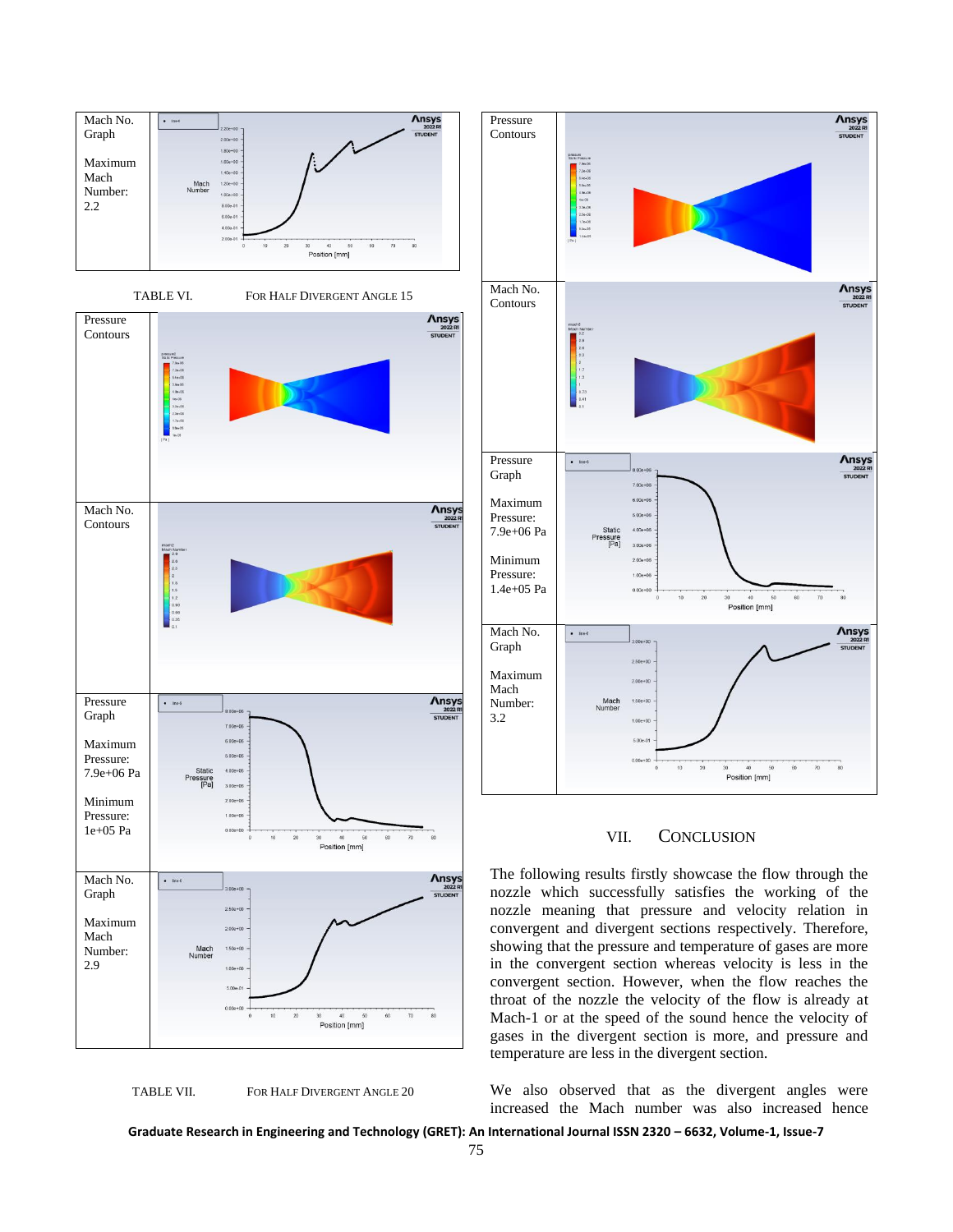







Pressure

#### VII. CONCLUSION

The following results firstly showcase the flow through the nozzle which successfully satisfies the working of the nozzle meaning that pressure and velocity relation in convergent and divergent sections respectively. Therefore, showing that the pressure and temperature of gases are more in the convergent section whereas velocity is less in the convergent section. However, when the flow reaches the throat of the nozzle the velocity of the flow is already at Mach-1 or at the speed of the sound hence the velocity of gases in the divergent section is more, and pressure and temperature are less in the divergent section.

We also observed that as the divergent angles were increased the Mach number was also increased hence